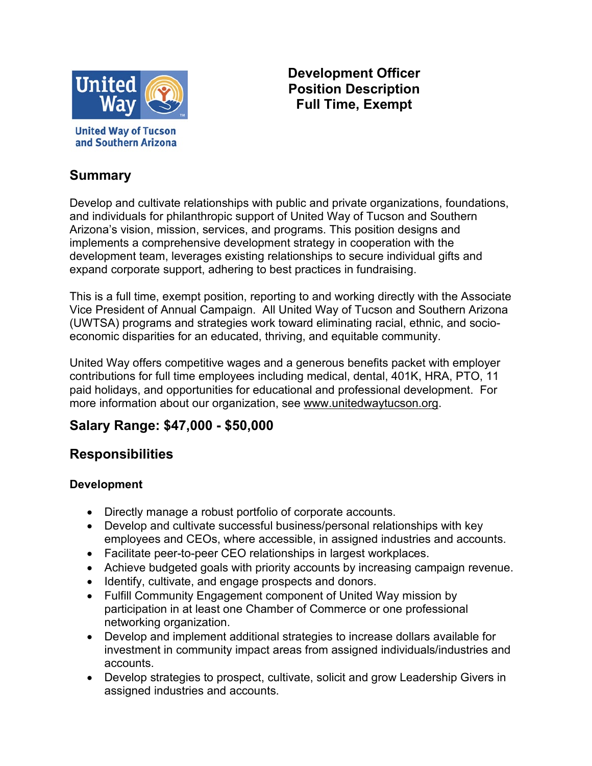

**United Way of Tucson** and Southern Arizona

### **Development Officer Position Description Full Time, Exempt**

### **Summary**

Develop and cultivate relationships with public and private organizations, foundations, and individuals for philanthropic support of United Way of Tucson and Southern Arizona's vision, mission, services, and programs. This position designs and implements a comprehensive development strategy in cooperation with the development team, leverages existing relationships to secure individual gifts and expand corporate support, adhering to best practices in fundraising.

This is a full time, exempt position, reporting to and working directly with the Associate Vice President of Annual Campaign. All United Way of Tucson and Southern Arizona (UWTSA) programs and strategies work toward eliminating racial, ethnic, and socioeconomic disparities for an educated, thriving, and equitable community.

United Way offers competitive wages and a generous benefits packet with employer contributions for full time employees including medical, dental, 401K, HRA, PTO, 11 paid holidays, and opportunities for educational and professional development. For more information about our organization, see [www.unitedwaytucson.org.](http://www.unitedwaytucson.org/)

# **Salary Range: \$47,000 - \$50,000**

# **Responsibilities**

#### **Development**

- Directly manage a robust portfolio of corporate accounts.
- Develop and cultivate successful business/personal relationships with key employees and CEOs, where accessible, in assigned industries and accounts.
- Facilitate peer-to-peer CEO relationships in largest workplaces.
- Achieve budgeted goals with priority accounts by increasing campaign revenue.
- Identify, cultivate, and engage prospects and donors.
- Fulfill Community Engagement component of United Way mission by participation in at least one Chamber of Commerce or one professional networking organization.
- Develop and implement additional strategies to increase dollars available for investment in community impact areas from assigned individuals/industries and accounts.
- Develop strategies to prospect, cultivate, solicit and grow Leadership Givers in assigned industries and accounts.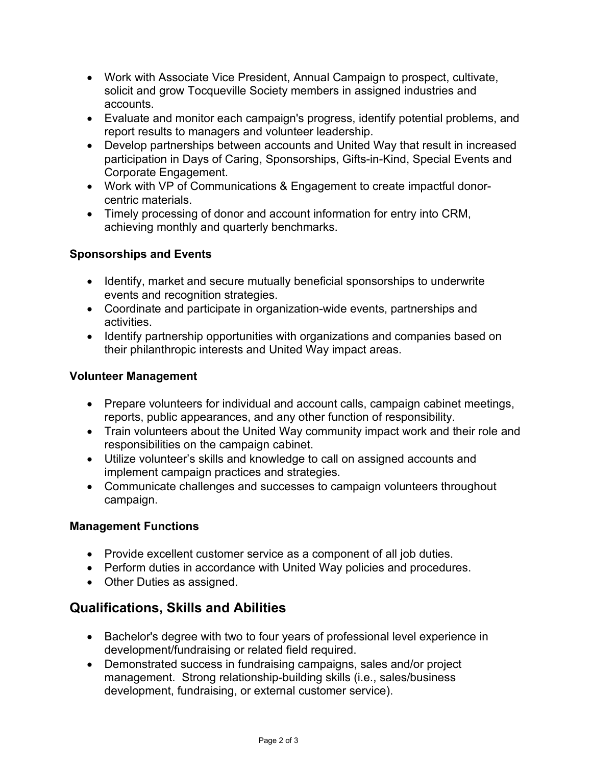- Work with Associate Vice President, Annual Campaign to prospect, cultivate, solicit and grow Tocqueville Society members in assigned industries and accounts.
- Evaluate and monitor each campaign's progress, identify potential problems, and report results to managers and volunteer leadership.
- Develop partnerships between accounts and United Way that result in increased participation in Days of Caring, Sponsorships, Gifts-in-Kind, Special Events and Corporate Engagement.
- Work with VP of Communications & Engagement to create impactful donorcentric materials.
- Timely processing of donor and account information for entry into CRM, achieving monthly and quarterly benchmarks.

#### **Sponsorships and Events**

- Identify, market and secure mutually beneficial sponsorships to underwrite events and recognition strategies.
- Coordinate and participate in organization-wide events, partnerships and activities.
- Identify partnership opportunities with organizations and companies based on their philanthropic interests and United Way impact areas.

#### **Volunteer Management**

- Prepare volunteers for individual and account calls, campaign cabinet meetings, reports, public appearances, and any other function of responsibility.
- Train volunteers about the United Way community impact work and their role and responsibilities on the campaign cabinet.
- Utilize volunteer's skills and knowledge to call on assigned accounts and implement campaign practices and strategies.
- Communicate challenges and successes to campaign volunteers throughout campaign.

#### **Management Functions**

- Provide excellent customer service as a component of all job duties.
- Perform duties in accordance with United Way policies and procedures.
- Other Duties as assigned.

### **Qualifications, Skills and Abilities**

- Bachelor's degree with two to four years of professional level experience in development/fundraising or related field required.
- Demonstrated success in fundraising campaigns, sales and/or project management. Strong relationship-building skills (i.e., sales/business development, fundraising, or external customer service).